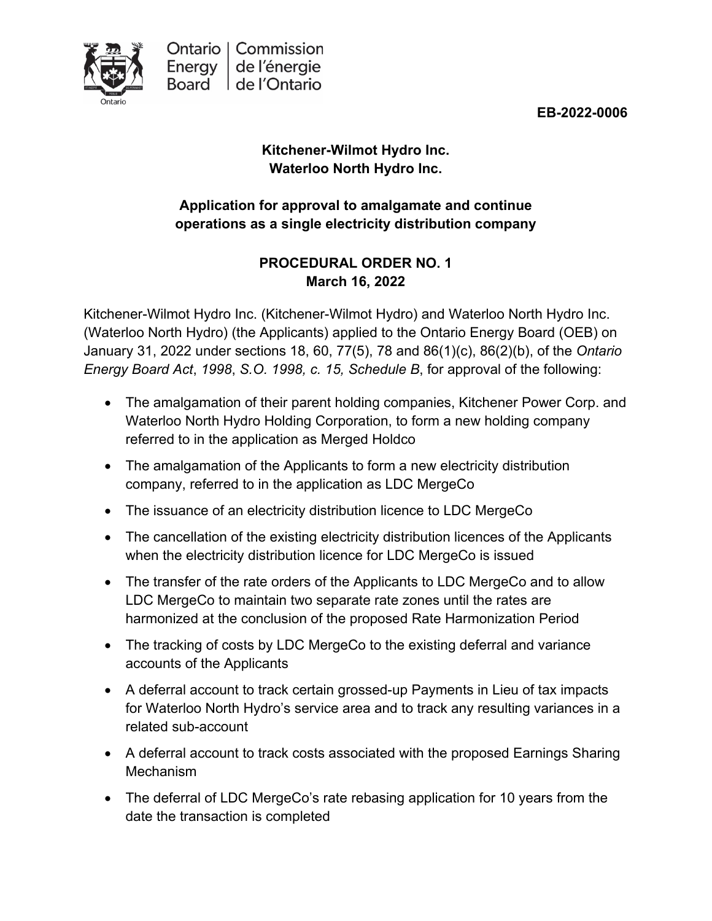

**EB-2022-0006**

# **Kitchener-Wilmot Hydro Inc. Waterloo North Hydro Inc.**

# **Application for approval to amalgamate and continue operations as a single electricity distribution company**

# **PROCEDURAL ORDER NO. 1 March 16, 2022**

Kitchener-Wilmot Hydro Inc. (Kitchener-Wilmot Hydro) and Waterloo North Hydro Inc. (Waterloo North Hydro) (the Applicants) applied to the Ontario Energy Board (OEB) on January 31, 2022 under sections 18, 60, 77(5), 78 and 86(1)(c), 86(2)(b), of the *Ontario Energy Board Act*, *1998*, *S.O. 1998, c. 15, Schedule B*, for approval of the following:

- The amalgamation of their parent holding companies, Kitchener Power Corp. and Waterloo North Hydro Holding Corporation, to form a new holding company referred to in the application as Merged Holdco
- The amalgamation of the Applicants to form a new electricity distribution company, referred to in the application as LDC MergeCo
- The issuance of an electricity distribution licence to LDC MergeCo
- The cancellation of the existing electricity distribution licences of the Applicants when the electricity distribution licence for LDC MergeCo is issued
- The transfer of the rate orders of the Applicants to LDC MergeCo and to allow LDC MergeCo to maintain two separate rate zones until the rates are harmonized at the conclusion of the proposed Rate Harmonization Period
- The tracking of costs by LDC MergeCo to the existing deferral and variance accounts of the Applicants
- A deferral account to track certain grossed-up Payments in Lieu of tax impacts for Waterloo North Hydro's service area and to track any resulting variances in a related sub-account
- A deferral account to track costs associated with the proposed Earnings Sharing Mechanism
- The deferral of LDC MergeCo's rate rebasing application for 10 years from the date the transaction is completed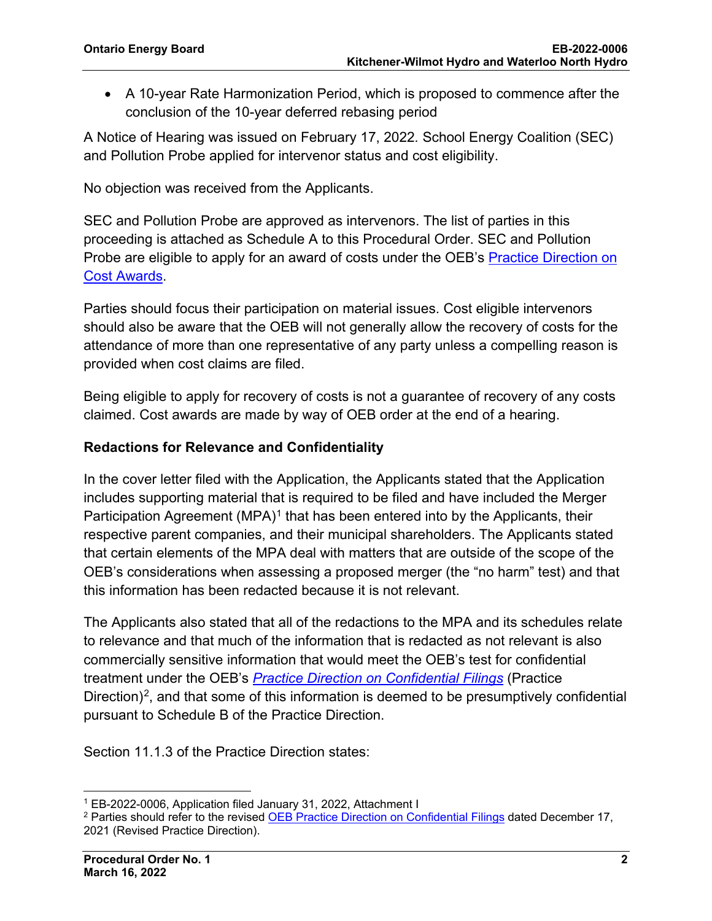• A 10-year Rate Harmonization Period, which is proposed to commence after the conclusion of the 10-year deferred rebasing period

A Notice of Hearing was issued on February 17, 2022*.* School Energy Coalition (SEC) and Pollution Probe applied for intervenor status and cost eligibility.

No objection was received from the Applicants.

SEC and Pollution Probe are approved as intervenors. The list of parties in this proceeding is attached as Schedule A to this Procedural Order. SEC and Pollution Probe are eligible to apply for an award of costs under the OEB's [Practice Direction on](https://www.oeb.ca/industry/rules-codes-and-requirements/practice-direction-cost-awards)  [Cost Awards.](https://www.oeb.ca/industry/rules-codes-and-requirements/practice-direction-cost-awards)

Parties should focus their participation on material issues. Cost eligible intervenors should also be aware that the OEB will not generally allow the recovery of costs for the attendance of more than one representative of any party unless a compelling reason is provided when cost claims are filed.

Being eligible to apply for recovery of costs is not a guarantee of recovery of any costs claimed. Cost awards are made by way of OEB order at the end of a hearing.

# **Redactions for Relevance and Confidentiality**

In the cover letter filed with the Application, the Applicants stated that the Application includes supporting material that is required to be filed and have included the Merger Participation Agreement (MPA)<sup>[1](#page-1-0)</sup> that has been entered into by the Applicants, their respective parent companies, and their municipal shareholders. The Applicants stated that certain elements of the MPA deal with matters that are outside of the scope of the OEB's considerations when assessing a proposed merger (the "no harm" test) and that this information has been redacted because it is not relevant.

The Applicants also stated that all of the redactions to the MPA and its schedules relate to relevance and that much of the information that is redacted as not relevant is also commercially sensitive information that would meet the OEB's test for confidential treatment under the OEB's *[Practice Direction on Confidential Filings](https://www.oeb.ca/sites/default/files/uploads/documents/regulatorycodes/2021-12/Practice-Direction-Confidential-Filings-20211217.pdf)* (Practice Direction)<sup>[2](#page-1-1)</sup>, and that some of this information is deemed to be presumptively confidential pursuant to Schedule B of the Practice Direction.

Section 11.1.3 of the Practice Direction states:

<span id="page-1-0"></span><sup>1</sup> EB-2022-0006, Application filed January 31, 2022, Attachment I

<span id="page-1-1"></span><sup>2</sup> Parties should refer to the revised [OEB Practice Direction on Confidential Filings](https://www.oeb.ca/sites/default/files/uploads/documents/regulatorycodes/2021-12/Practice-Direction-Confidential-Filings-20211217.pdf) dated December 17, 2021 (Revised Practice Direction).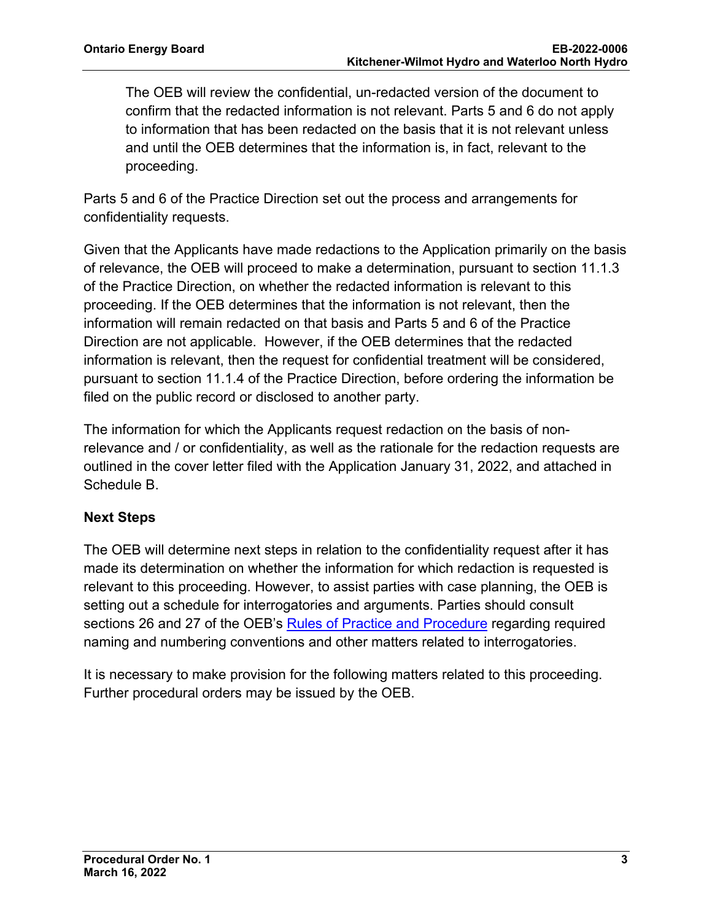The OEB will review the confidential, un-redacted version of the document to confirm that the redacted information is not relevant. Parts 5 and 6 do not apply to information that has been redacted on the basis that it is not relevant unless and until the OEB determines that the information is, in fact, relevant to the proceeding.

Parts 5 and 6 of the Practice Direction set out the process and arrangements for confidentiality requests.

Given that the Applicants have made redactions to the Application primarily on the basis of relevance, the OEB will proceed to make a determination, pursuant to section 11.1.3 of the Practice Direction, on whether the redacted information is relevant to this proceeding. If the OEB determines that the information is not relevant, then the information will remain redacted on that basis and Parts 5 and 6 of the Practice Direction are not applicable. However, if the OEB determines that the redacted information is relevant, then the request for confidential treatment will be considered, pursuant to section 11.1.4 of the Practice Direction, before ordering the information be filed on the public record or disclosed to another party.

The information for which the Applicants request redaction on the basis of nonrelevance and / or confidentiality, as well as the rationale for the redaction requests are outlined in the cover letter filed with the Application January 31, 2022, and attached in Schedule B.

# **Next Steps**

The OEB will determine next steps in relation to the confidentiality request after it has made its determination on whether the information for which redaction is requested is relevant to this proceeding. However, to assist parties with case planning, the OEB is setting out a schedule for interrogatories and arguments. Parties should consult sections 26 and 27 of the OEB's [Rules of Practice and Procedure](https://www.oeb.ca/industry/rules-codes-and-requirements/rules-practice-procedure) regarding required naming and numbering conventions and other matters related to interrogatories.

It is necessary to make provision for the following matters related to this proceeding. Further procedural orders may be issued by the OEB.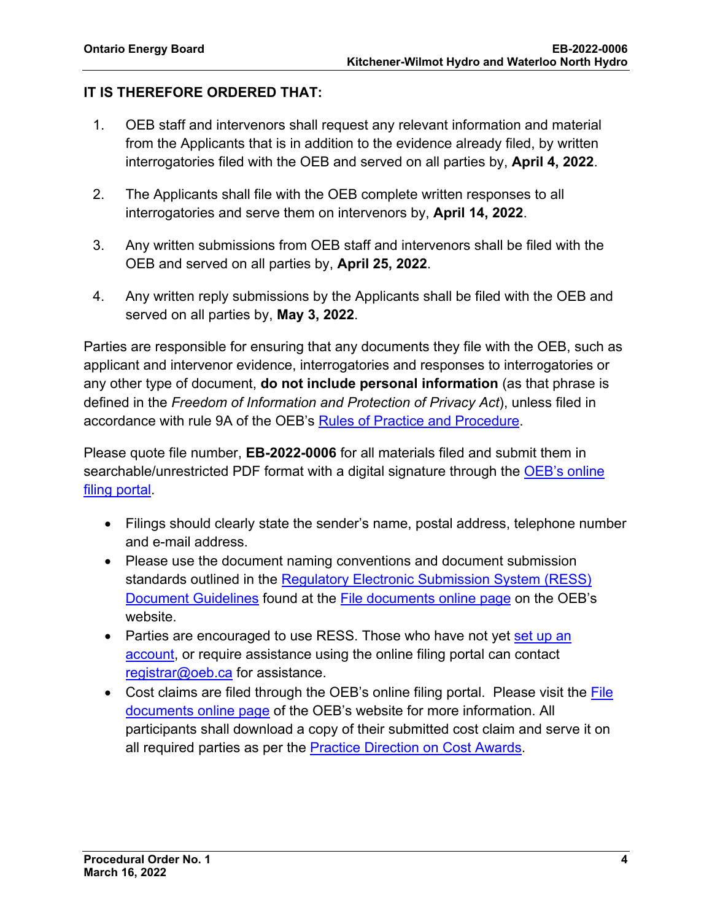# **IT IS THEREFORE ORDERED THAT:**

- 1. OEB staff and intervenors shall request any relevant information and material from the Applicants that is in addition to the evidence already filed, by written interrogatories filed with the OEB and served on all parties by, **April 4, 2022**.
- 2. The Applicants shall file with the OEB complete written responses to all interrogatories and serve them on intervenors by, **April 14, 2022**.
- 3. Any written submissions from OEB staff and intervenors shall be filed with the OEB and served on all parties by, **April 25, 2022**.
- 4. Any written reply submissions by the Applicants shall be filed with the OEB and served on all parties by, **May 3, 2022**.

Parties are responsible for ensuring that any documents they file with the OEB, such as applicant and intervenor evidence, interrogatories and responses to interrogatories or any other type of document, **do not include personal information** (as that phrase is defined in the *Freedom of Information and Protection of Privacy Act*), unless filed in accordance with rule 9A of the OEB's [Rules of Practice and Procedure.](https://www.oeb.ca/industry/rules-codes-and-requirements/rules-practice-procedure)

Please quote file number, **EB-2022-0006** for all materials filed and submit them in searchable/unrestricted PDF format with a digital signature through the OEB's online [filing portal.](https://p-pes.ontarioenergyboard.ca/PivotalUX/)

- Filings should clearly state the sender's name, postal address, telephone number and e-mail address.
- Please use the document naming conventions and document submission standards outlined in the [Regulatory Electronic Submission System \(RESS\)](https://www.oeb.ca/sites/default/files/RESS-Document-Guidelines-202006.pdf)  [Document Guidelines](https://www.oeb.ca/sites/default/files/RESS-Document-Guidelines-202006.pdf) found at the [File documents online page](https://www.oeb.ca/regulatory-rules-and-documents/file-documents-online) on the OEB's website.
- Parties are encouraged to use RESS. Those who have not yet set up an [account,](https://www.oeb.ca/oeb/_Documents/e-Filing/Electronic_User_Form.pdf?v=20200331) or require assistance using the online filing portal can contact [registrar@oeb.ca](mailto:registrar@oeb.ca) for assistance.
- Cost claims are filed through the OEB's online filing portal. Please visit the File [documents online page](https://www.oeb.ca/regulatory-rules-and-documents/file-documents-online) of the OEB's website for more information. All participants shall download a copy of their submitted cost claim and serve it on all required parties as per the **Practice Direction on Cost Awards**.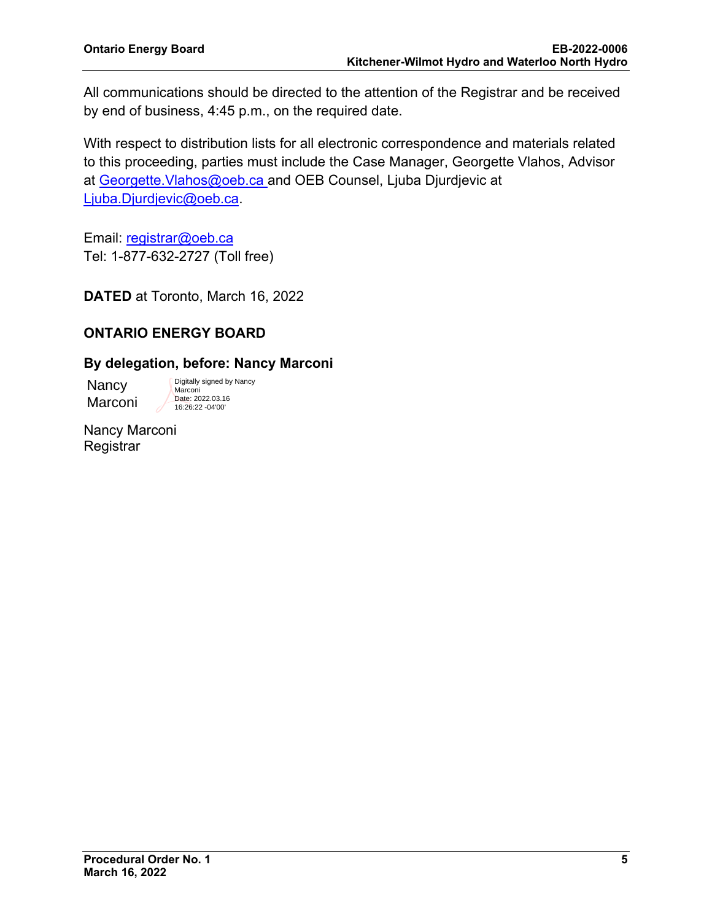All communications should be directed to the attention of the Registrar and be received by end of business, 4:45 p.m., on the required date.

With respect to distribution lists for all electronic correspondence and materials related to this proceeding, parties must include the Case Manager, Georgette Vlahos, Advisor at Georgette. Vlahos@oeb.ca and OEB Counsel, Liuba Djurdjevic at [Ljuba.Djurdjevic@oeb.ca.](mailto:Ljuba.Djurdjevic@oeb.ca)

Email: [registrar@oeb.ca](mailto:registrar@oeb.ca) Tel: 1-877-632-2727 (Toll free)

**DATED** at Toronto, March 16, 2022

# **ONTARIO ENERGY BOARD**

## **By delegation, before: Nancy Marconi**

Nancy Marconi Digitally signed by Nancy Marconi Date: 2022.03.16 16:26:22 -04'00'

Nancy Marconi **Registrar**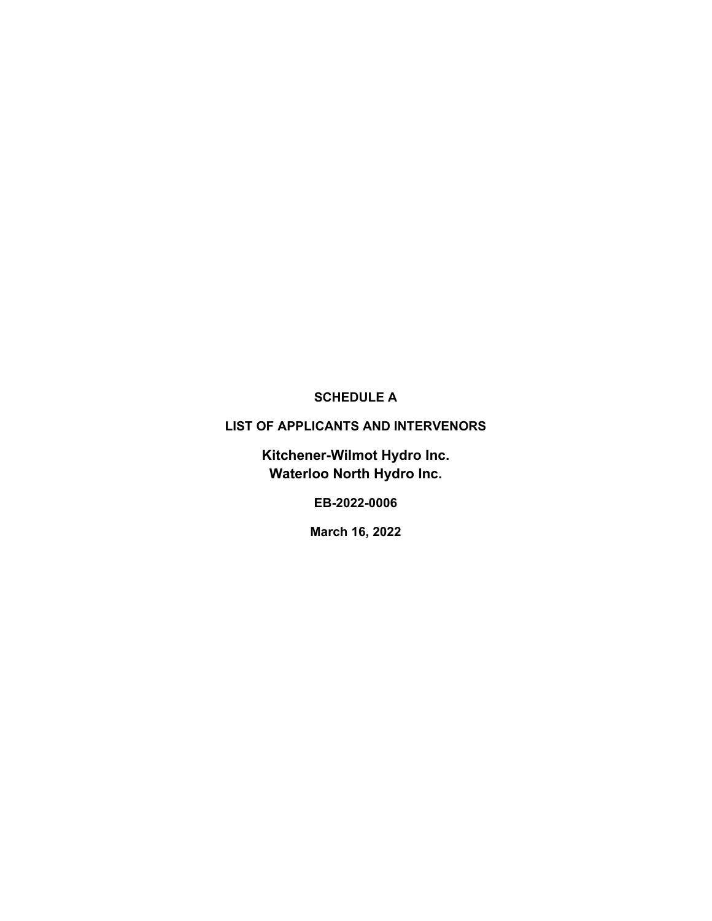# **SCHEDULE A**

## **LIST OF APPLICANTS AND INTERVENORS**

**Kitchener-Wilmot Hydro Inc. Waterloo North Hydro Inc.**

**EB-2022-0006**

**March 16, 2022**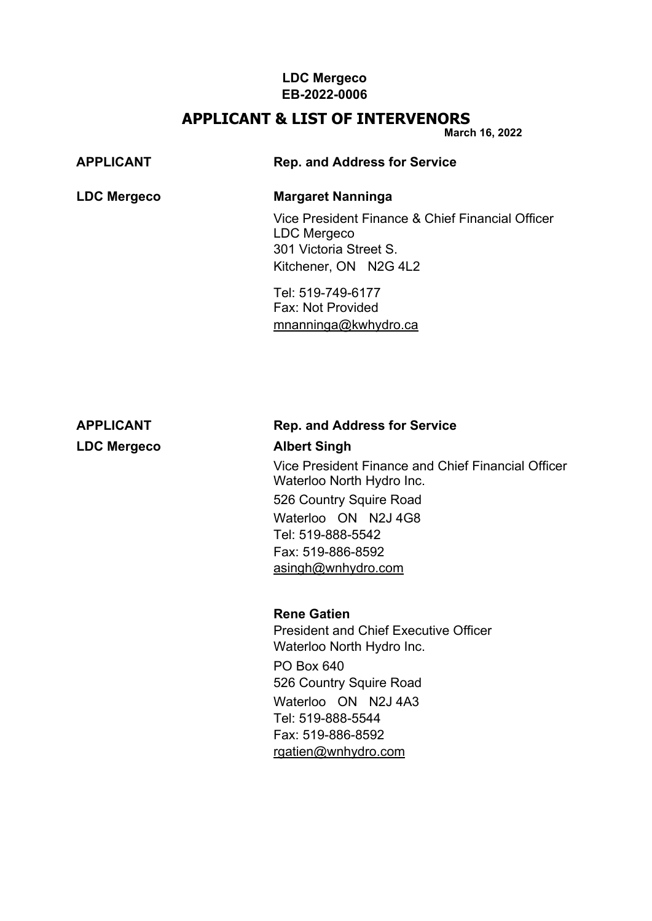## **LDC Mergeco EB-2022-0006**

# **APPLICANT & LIST OF INTERVENORS**

**March 16, 2022**

| <b>APPLICANT</b>   | <b>Rep. and Address for Service</b>                                                                                |
|--------------------|--------------------------------------------------------------------------------------------------------------------|
| <b>LDC Mergeco</b> | <b>Margaret Nanninga</b>                                                                                           |
|                    | Vice President Finance & Chief Financial Officer<br>LDC Mergeco<br>301 Victoria Street S.<br>Kitchener, ON N2G 4L2 |

Tel: 519-749-6177 Fax: Not Provided [mnanninga@kwhydro.ca](mailto:mnanninga@kwhydro.ca)

# **APPLICANT Rep. and Address for Service**

# **LDC Mergeco Albert Singh**

Vice President Finance and Chief Financial Officer Waterloo North Hydro Inc. 526 Country Squire Road

Waterloo ON N2J 4G8 Tel: 519-888-5542 Fax: 519-886-8592 [asingh@wnhydro.com](mailto:asingh@wnhydro.com)

# **Rene Gatien**

President and Chief Executive Officer Waterloo North Hydro Inc. PO Box 640 526 Country Squire Road Waterloo ON N2J 4A3 Tel: 519-888-5544 Fax: 519-886-8592 [rgatien@wnhydro.com](mailto:rgatien@wnhydro.com)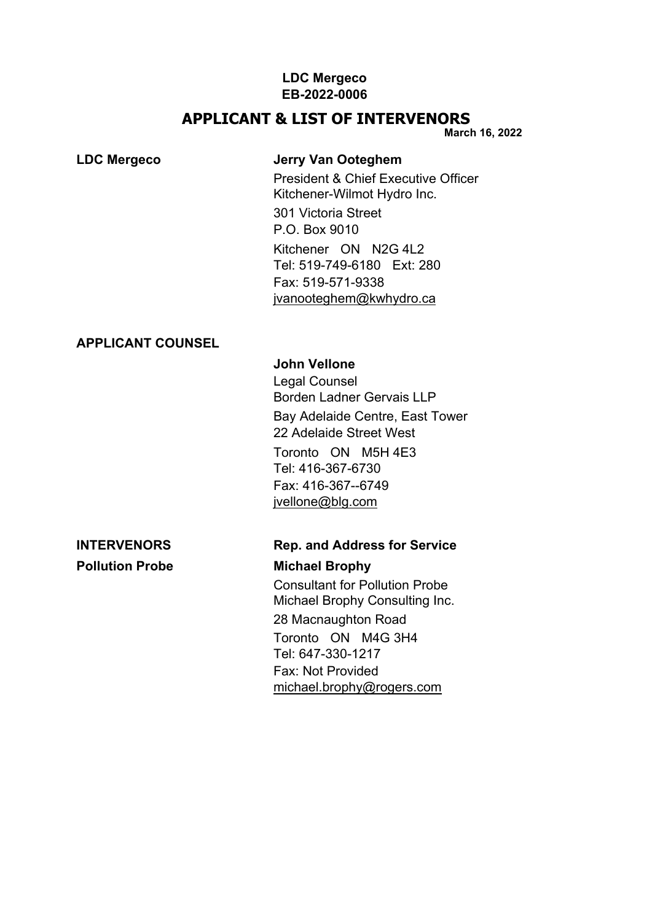#### **LDC Mergeco EB-2022-0006**

# **APPLICANT & LIST OF INTERVENORS**

**March 16, 2022**

# **LDC Mergeco Jerry Van Ooteghem**

President & Chief Executive Officer Kitchener-Wilmot Hydro Inc.

301 Victoria Street P.O. Box 9010 Kitchener ON N2G 4L2 Tel: 519-749-6180 Ext: 280 Fax: 519-571-9338 [jvanooteghem@kwhydro.ca](mailto:jvanooteghem@kwhydro.ca)

## **APPLICANT COUNSEL**

# **John Vellone**

Legal Counsel Borden Ladner Gervais LLP Bay Adelaide Centre, East Tower 22 Adelaide Street West Toronto ON M5H 4E3 Tel: 416-367-6730 Fax: 416-367--6749 [jvellone@blg.com](mailto:jvellone@blg.com)

# **Pollution Probe Michael Brophy**

# **INTERVENORS Rep. and Address for Service**

Consultant for Pollution Probe Michael Brophy Consulting Inc. 28 Macnaughton Road Toronto ON M4G 3H4 Tel: 647-330-1217 Fax: Not Provided [michael.brophy@rogers.com](mailto:michael.brophy@rogers.com)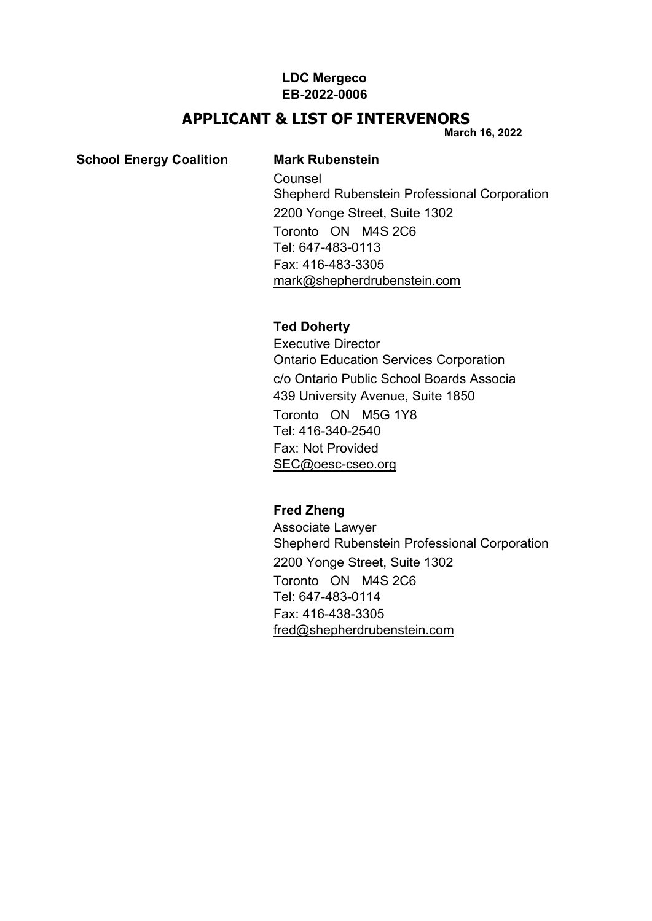## **LDC Mergeco EB-2022-0006**

# **APPLICANT & LIST OF INTERVENORS**

**March 16, 2022**

#### **School Energy Coalition Mark Rubenstein**

Counsel Shepherd Rubenstein Professional Corporation 2200 Yonge Street, Suite 1302 Toronto ON M4S 2C6 Tel: 647-483-0113 Fax: 416-483-3305 [mark@shepherdrubenstein.com](mailto:mark@shepherdrubenstein.com)

#### **Ted Doherty**

Executive Director Ontario Education Services Corporation c/o Ontario Public School Boards Associa 439 University Avenue, Suite 1850 Toronto ON M5G 1Y8 Tel: 416-340-2540 Fax: Not Provided [SEC@oesc-cseo.org](mailto:SEC@oesc%1Ecseo.org)

# **Fred Zheng**

Associate Lawyer Shepherd Rubenstein Professional Corporation 2200 Yonge Street, Suite 1302 Toronto ON M4S 2C6 Tel: 647-483-0114 Fax: 416-438-3305 [fred@shepherdrubenstein.com](mailto:fred@shepherdrubenstein.com)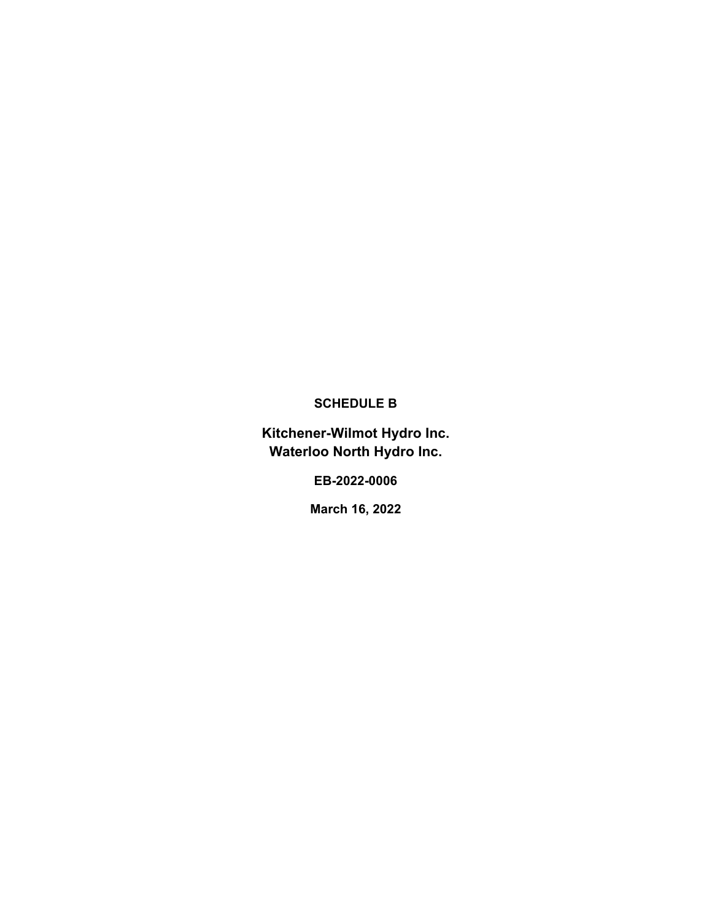## **SCHEDULE B**

**Kitchener-Wilmot Hydro Inc. Waterloo North Hydro Inc.**

**EB-2022-0006**

**March 16, 2022**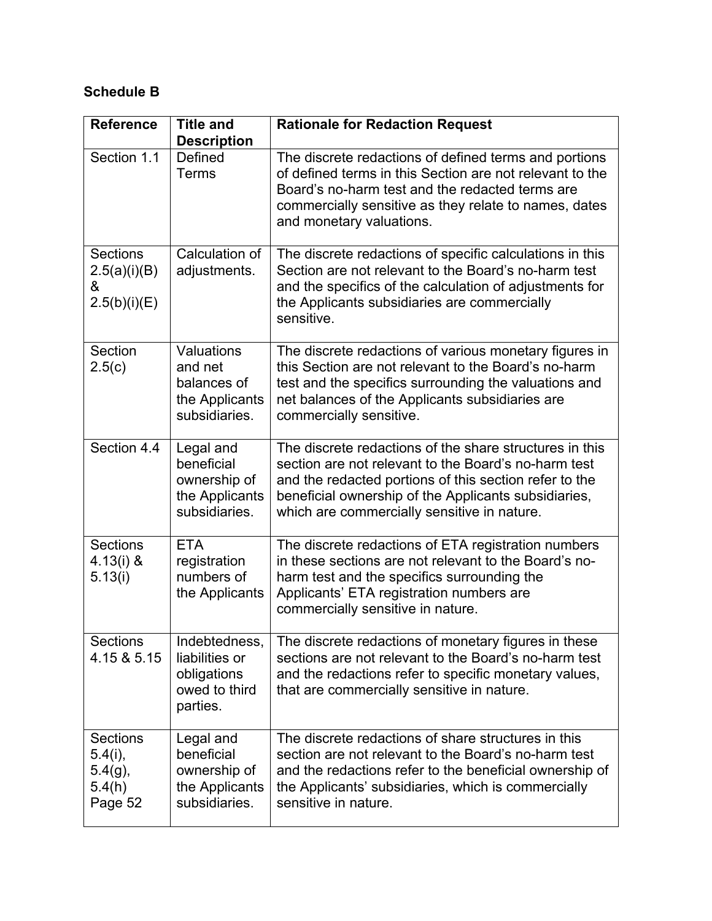# **Schedule B**

| <b>Reference</b>                                                 | <b>Title and</b><br><b>Description</b>                                      | <b>Rationale for Redaction Request</b>                                                                                                                                                                                                                                           |
|------------------------------------------------------------------|-----------------------------------------------------------------------------|----------------------------------------------------------------------------------------------------------------------------------------------------------------------------------------------------------------------------------------------------------------------------------|
| Section 1.1                                                      | Defined<br><b>Terms</b>                                                     | The discrete redactions of defined terms and portions<br>of defined terms in this Section are not relevant to the<br>Board's no-harm test and the redacted terms are<br>commercially sensitive as they relate to names, dates<br>and monetary valuations.                        |
| <b>Sections</b><br>2.5(a)(i)(B)<br>&<br>2.5(b)(i)(E)             | Calculation of<br>adjustments.                                              | The discrete redactions of specific calculations in this<br>Section are not relevant to the Board's no-harm test<br>and the specifics of the calculation of adjustments for<br>the Applicants subsidiaries are commercially<br>sensitive.                                        |
| Section<br>2.5(c)                                                | Valuations<br>and net<br>balances of<br>the Applicants<br>subsidiaries.     | The discrete redactions of various monetary figures in<br>this Section are not relevant to the Board's no-harm<br>test and the specifics surrounding the valuations and<br>net balances of the Applicants subsidiaries are<br>commercially sensitive.                            |
| Section 4.4                                                      | Legal and<br>beneficial<br>ownership of<br>the Applicants<br>subsidiaries.  | The discrete redactions of the share structures in this<br>section are not relevant to the Board's no-harm test<br>and the redacted portions of this section refer to the<br>beneficial ownership of the Applicants subsidiaries,<br>which are commercially sensitive in nature. |
| <b>Sections</b><br>$4.13(i)$ &<br>5.13(i)                        | <b>ETA</b><br>registration<br>numbers of<br>the Applicants                  | The discrete redactions of ETA registration numbers<br>in these sections are not relevant to the Board's no-<br>harm test and the specifics surrounding the<br>Applicants' ETA registration numbers are<br>commercially sensitive in nature.                                     |
| <b>Sections</b><br>4.15 & 5.15                                   | Indebtedness,<br>liabilities or<br>obligations<br>owed to third<br>parties. | The discrete redactions of monetary figures in these<br>sections are not relevant to the Board's no-harm test<br>and the redactions refer to specific monetary values,<br>that are commercially sensitive in nature.                                                             |
| <b>Sections</b><br>$5.4(i)$ ,<br>$5.4(g)$ ,<br>5.4(h)<br>Page 52 | Legal and<br>beneficial<br>ownership of<br>the Applicants<br>subsidiaries.  | The discrete redactions of share structures in this<br>section are not relevant to the Board's no-harm test<br>and the redactions refer to the beneficial ownership of<br>the Applicants' subsidiaries, which is commercially<br>sensitive in nature.                            |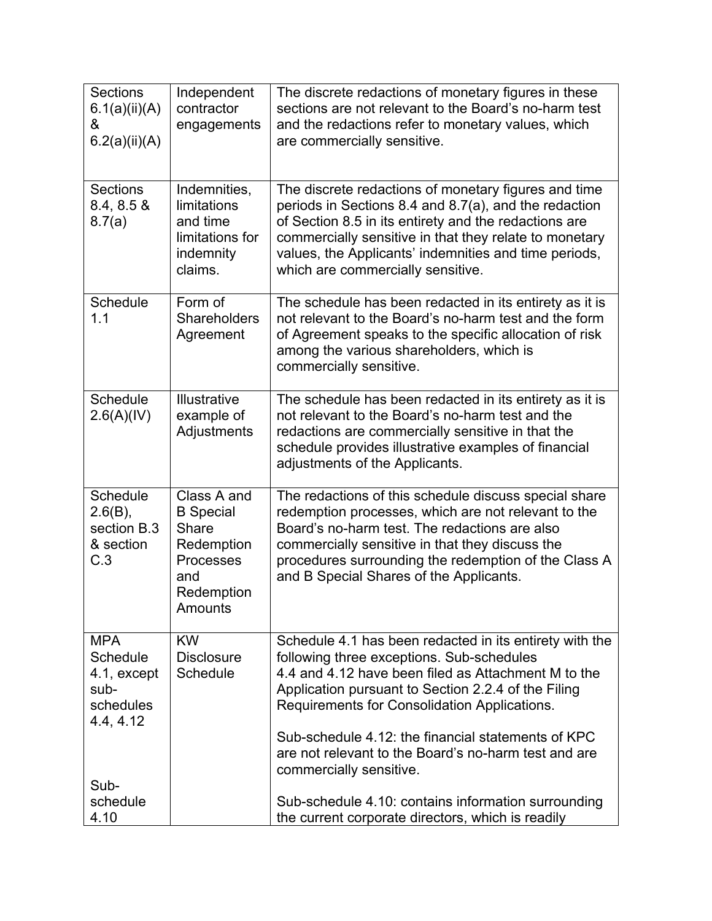| Sections<br>6.1(a)(ii)(A)<br>&<br>6.2(a)(ii)(A)                         | Independent<br>contractor<br>engagements                                                                   | The discrete redactions of monetary figures in these<br>sections are not relevant to the Board's no-harm test<br>and the redactions refer to monetary values, which<br>are commercially sensitive.                                                                                                                             |
|-------------------------------------------------------------------------|------------------------------------------------------------------------------------------------------------|--------------------------------------------------------------------------------------------------------------------------------------------------------------------------------------------------------------------------------------------------------------------------------------------------------------------------------|
| <b>Sections</b><br>$8.4, 8.5 \&$<br>8.7(a)                              | Indemnities,<br>limitations<br>and time<br>limitations for<br>indemnity<br>claims.                         | The discrete redactions of monetary figures and time<br>periods in Sections 8.4 and 8.7(a), and the redaction<br>of Section 8.5 in its entirety and the redactions are<br>commercially sensitive in that they relate to monetary<br>values, the Applicants' indemnities and time periods,<br>which are commercially sensitive. |
| Schedule<br>1.1                                                         | Form of<br>Shareholders<br>Agreement                                                                       | The schedule has been redacted in its entirety as it is<br>not relevant to the Board's no-harm test and the form<br>of Agreement speaks to the specific allocation of risk<br>among the various shareholders, which is<br>commercially sensitive.                                                                              |
| Schedule<br>2.6(A)(IV)                                                  | <b>Illustrative</b><br>example of<br>Adjustments                                                           | The schedule has been redacted in its entirety as it is<br>not relevant to the Board's no-harm test and the<br>redactions are commercially sensitive in that the<br>schedule provides illustrative examples of financial<br>adjustments of the Applicants.                                                                     |
| Schedule<br>$2.6(B)$ ,<br>section B.3<br>& section<br>C.3               | Class A and<br><b>B</b> Special<br><b>Share</b><br>Redemption<br>Processes<br>and<br>Redemption<br>Amounts | The redactions of this schedule discuss special share<br>redemption processes, which are not relevant to the<br>Board's no-harm test. The redactions are also<br>commercially sensitive in that they discuss the<br>procedures surrounding the redemption of the Class A<br>and B Special Shares of the Applicants.            |
| <b>MPA</b><br>Schedule<br>4.1, except<br>sub-<br>schedules<br>4.4, 4.12 | <b>KW</b><br><b>Disclosure</b><br><b>Schedule</b>                                                          | Schedule 4.1 has been redacted in its entirety with the<br>following three exceptions. Sub-schedules<br>4.4 and 4.12 have been filed as Attachment M to the<br>Application pursuant to Section 2.2.4 of the Filing<br>Requirements for Consolidation Applications.                                                             |
| Sub-<br>schedule                                                        |                                                                                                            | Sub-schedule 4.12; the financial statements of KPC<br>are not relevant to the Board's no-harm test and are<br>commercially sensitive.<br>Sub-schedule 4.10: contains information surrounding                                                                                                                                   |
| 4.10                                                                    |                                                                                                            | the current corporate directors, which is readily                                                                                                                                                                                                                                                                              |